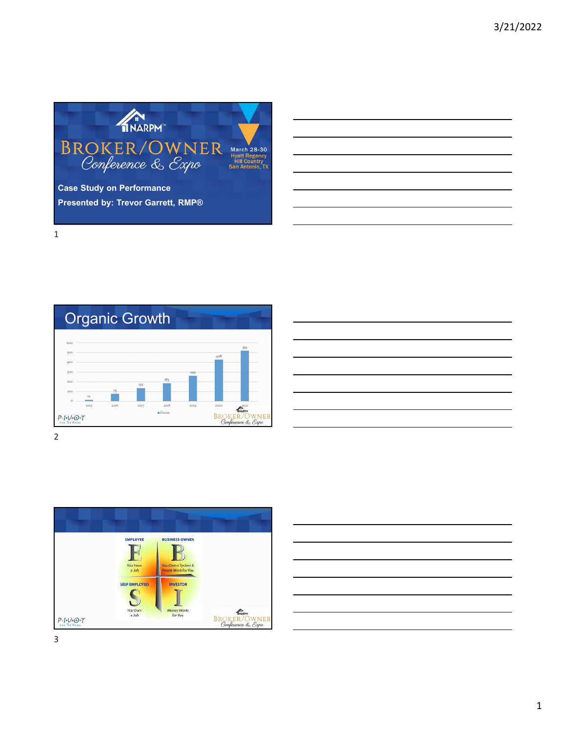





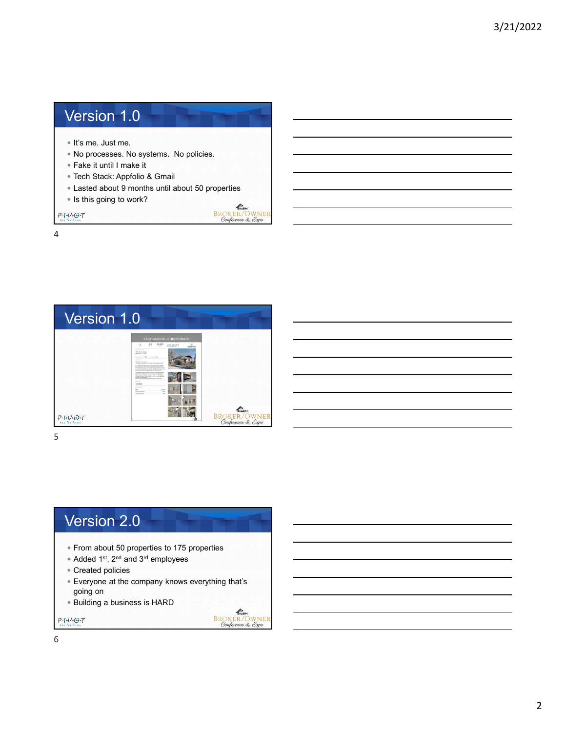## Version 1.0

- It's me. Just me.
- No processes. No systems. No policies.
- Fake it until I make it
- Tech Stack: Appfolio & Gmail
- Lasted about 9 months until about 50 properties

**ANGELATION**<br>BROKER/OWNER<br>Conference & Expo

KNARPH BROKER/OWNER<br>Conference & Expo

• Is this going to work?

 $P - I - V - O - T$ 

4



5

## Version 2.0

- From about 50 properties to 175 properties
- Added 1st, 2nd and 3rd employees
- Created policies
- Everyone at the company knows everything that's going on
- Building a business is HARD

 $P - I - V - O - T$ 

6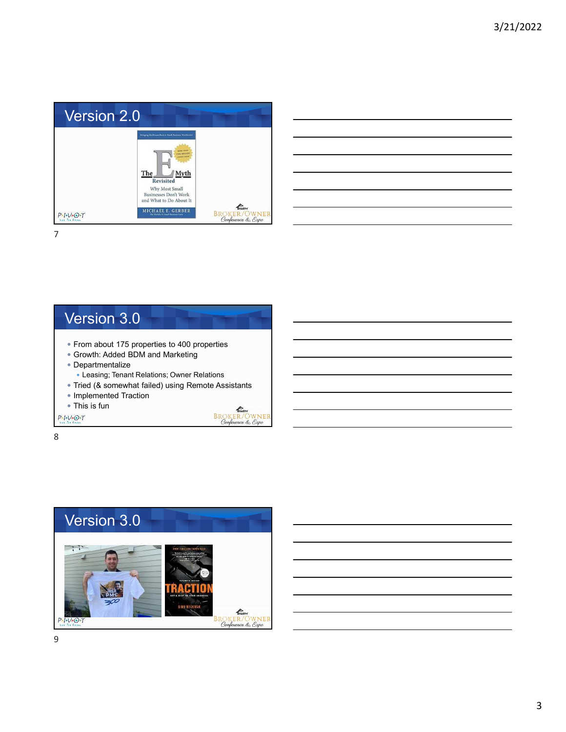

| <u> 1989 - Jan Samuel Barbara, margaret a shekara ta 1989 - Anna a shekara ta 1989 - Anna a tsarar 1980 - Anna a</u>   |  |  |
|------------------------------------------------------------------------------------------------------------------------|--|--|
| <u> 1989 - Johann Harry Barn, mars and deutscher Stadt and deutscher Stadt and deutscher Stadt and deutscher Stadt</u> |  |  |
| <u> 1989 - Andrea Santa Andrea Andrea Andrea Andrea Andrea Andrea Andrea Andrea Andrea Andrea Andrea Andrea Andr</u>   |  |  |
| ,我们也不会有一个人的事情。""我们的人们是不是我们的人,我们也不会有一个人的人,我们也不会有一个人的人,我们也不会有一个人的人,我们也不会有一个人的人,我们也不                                      |  |  |
|                                                                                                                        |  |  |
| <u> 1989 - Andrea Santa Andrea Andrea Andrea Andrea Andrea Andrea Andrea Andrea Andrea Andrea Andrea Andrea Andr</u>   |  |  |
|                                                                                                                        |  |  |

7

#### Version 3.0 From about 175 properties to 400 properties Growth: Added BDM and Marketing Departmentalize Leasing; Tenant Relations; Owner Relations Tried (& somewhat failed) using Remote Assistants • Implemented Traction This is fun **SALLACER**<br>BROKER/OWNER<br>Conference & Expo  $P - I - V - O - T$

8



9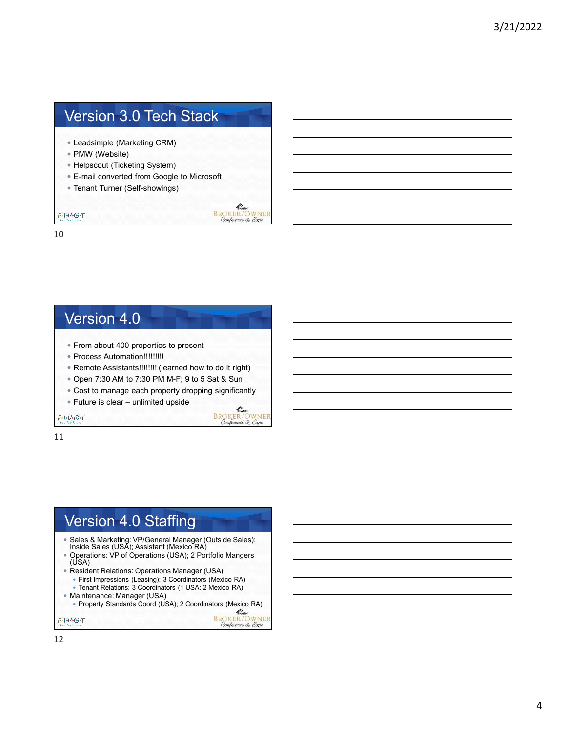# Version 3.0 Tech Stack

- Leadsimple (Marketing CRM)
- PMW (Website)
- Helpscout (Ticketing System)
- E-mail converted from Google to Microsoft

**CONTRACTER**<br>BROKER/OWNER<br>Conference & Expo

 $\mathbb{Z}$ **BROKER/OWNER** 

nce & Expo

Confe

Tenant Turner (Self-showings)

 $P+I+V+O+T$ 

10

#### Version 4.0

- From about 400 properties to present
- Process Automation!!!!!!!!!
- Remote Assistants!!!!!!!! (learned how to do it right)
- Open 7:30 AM to 7:30 PM M-F; 9 to 5 Sat & Sun
- Cost to manage each property dropping significantly
- Future is clear unlimited upside

 $P-I-V+O+T$ 

11

### Version 4.0 Staffing

- Sales & Marketing: VP/General Manager (Outside Sales); Inside Sales (USA); Assistant (Mexico RA)
- Operations: VP of Operations (USA); 2 Portfolio Mangers (USA)
- Resident Relations: Operations Manager (USA)
	- First Impressions (Leasing): 3 Coordinators (Mexico RA) Tenant Relations: 3 Coordinators (1 USA; 2 Mexico RA)
- Maintenance: Manager (USA)
	- Property Standards Coord (USA); 2 Coordinators (Mexico RA)

**BROKER/OWNEI**<br>Conference & Expo  $P-I-V+O+T$